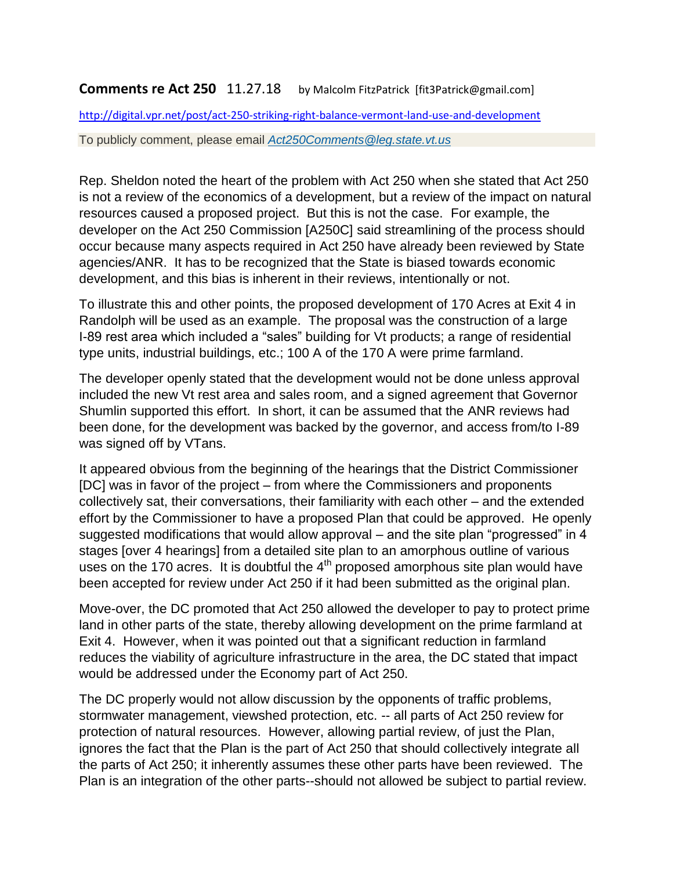## **Comments re Act 250** 11.27.18 by Malcolm FitzPatrick [fit3Patrick@gmail.com]

<http://digital.vpr.net/post/act-250-striking-right-balance-vermont-land-use-and-development>

To publicly comment, please email *[Act250Comments@leg.state.vt.us](mailto:Act250Comments@leg.state.vt.us)*

Rep. Sheldon noted the heart of the problem with Act 250 when she stated that Act 250 is not a review of the economics of a development, but a review of the impact on natural resources caused a proposed project. But this is not the case. For example, the developer on the Act 250 Commission [A250C] said streamlining of the process should occur because many aspects required in Act 250 have already been reviewed by State agencies/ANR. It has to be recognized that the State is biased towards economic development, and this bias is inherent in their reviews, intentionally or not.

To illustrate this and other points, the proposed development of 170 Acres at Exit 4 in Randolph will be used as an example. The proposal was the construction of a large I-89 rest area which included a "sales" building for Vt products; a range of residential type units, industrial buildings, etc.; 100 A of the 170 A were prime farmland.

The developer openly stated that the development would not be done unless approval included the new Vt rest area and sales room, and a signed agreement that Governor Shumlin supported this effort. In short, it can be assumed that the ANR reviews had been done, for the development was backed by the governor, and access from/to I-89 was signed off by VTans.

It appeared obvious from the beginning of the hearings that the District Commissioner [DC] was in favor of the project – from where the Commissioners and proponents collectively sat, their conversations, their familiarity with each other – and the extended effort by the Commissioner to have a proposed Plan that could be approved. He openly suggested modifications that would allow approval – and the site plan "progressed" in 4 stages [over 4 hearings] from a detailed site plan to an amorphous outline of various uses on the 170 acres. It is doubtful the  $4<sup>th</sup>$  proposed amorphous site plan would have been accepted for review under Act 250 if it had been submitted as the original plan.

Move-over, the DC promoted that Act 250 allowed the developer to pay to protect prime land in other parts of the state, thereby allowing development on the prime farmland at Exit 4. However, when it was pointed out that a significant reduction in farmland reduces the viability of agriculture infrastructure in the area, the DC stated that impact would be addressed under the Economy part of Act 250.

The DC properly would not allow discussion by the opponents of traffic problems, stormwater management, viewshed protection, etc. -- all parts of Act 250 review for protection of natural resources. However, allowing partial review, of just the Plan, ignores the fact that the Plan is the part of Act 250 that should collectively integrate all the parts of Act 250; it inherently assumes these other parts have been reviewed. The Plan is an integration of the other parts--should not allowed be subject to partial review.